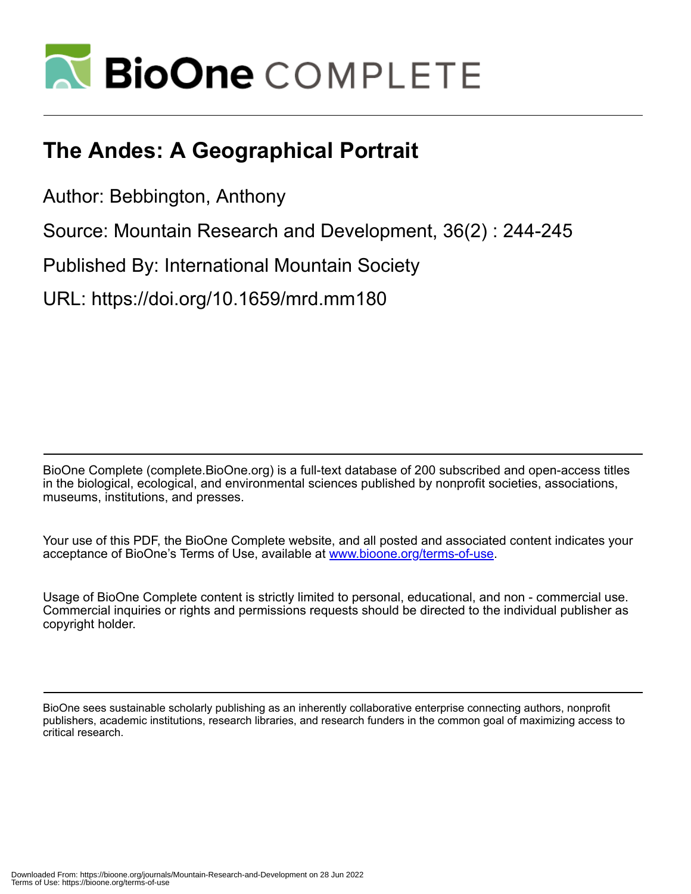

# **The Andes: A Geographical Portrait**

Author: Bebbington, Anthony

Source: Mountain Research and Development, 36(2) : 244-245

Published By: International Mountain Society

URL: https://doi.org/10.1659/mrd.mm180

BioOne Complete (complete.BioOne.org) is a full-text database of 200 subscribed and open-access titles in the biological, ecological, and environmental sciences published by nonprofit societies, associations, museums, institutions, and presses.

Your use of this PDF, the BioOne Complete website, and all posted and associated content indicates your acceptance of BioOne's Terms of Use, available at www.bioone.org/terms-of-use.

Usage of BioOne Complete content is strictly limited to personal, educational, and non - commercial use. Commercial inquiries or rights and permissions requests should be directed to the individual publisher as copyright holder.

BioOne sees sustainable scholarly publishing as an inherently collaborative enterprise connecting authors, nonprofit publishers, academic institutions, research libraries, and research funders in the common goal of maximizing access to critical research.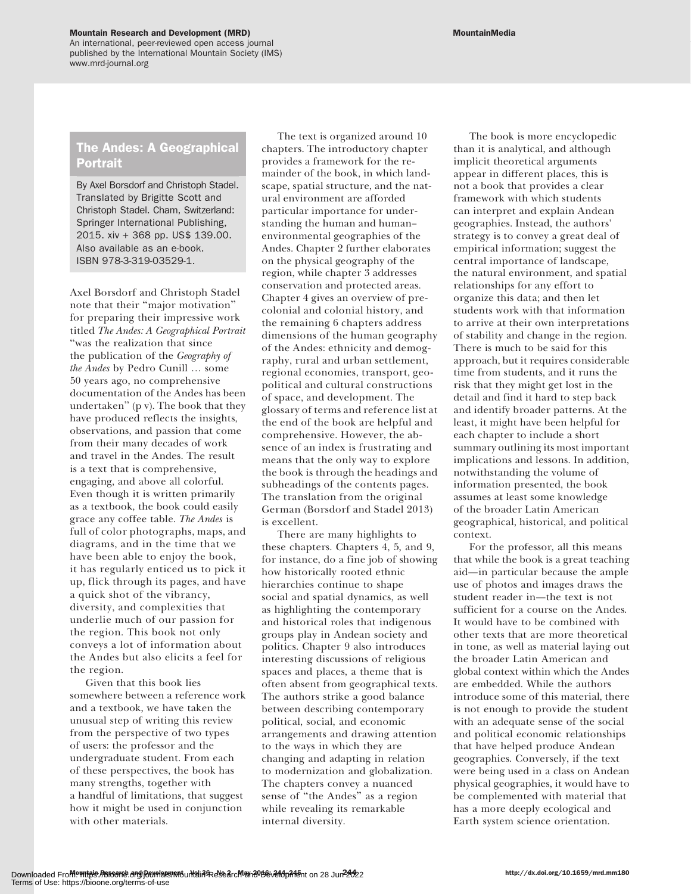#### Mountain Research and Development (MRD) and the contract of the contract of the MountainMedia

An international, peer-reviewed open access journal published by the International Mountain Society (IMS) www.mrd-journal.org

## The Andes: A Geographical Portrait

By Axel Borsdorf and Christoph Stadel. Translated by Brigitte Scott and Christoph Stadel. Cham, Switzerland: Springer International Publishing, 2015. xiv + 368 pp. US\$ 139.00. Also available as an e-book. ISBN 978-3-319-03529-1.

Axel Borsdorf and Christoph Stadel note that their "major motivation" for preparing their impressive work titled The Andes: A Geographical Portrait "was the realization that since the publication of the Geography of the Andes by Pedro Cunill … some 50 years ago, no comprehensive documentation of the Andes has been undertaken" (p v). The book that they have produced reflects the insights, observations, and passion that come from their many decades of work and travel in the Andes. The result is a text that is comprehensive, engaging, and above all colorful. Even though it is written primarily as a textbook, the book could easily grace any coffee table. The Andes is full of color photographs, maps, and diagrams, and in the time that we have been able to enjoy the book, it has regularly enticed us to pick it up, flick through its pages, and have a quick shot of the vibrancy, diversity, and complexities that underlie much of our passion for the region. This book not only conveys a lot of information about the Andes but also elicits a feel for the region.

Given that this book lies somewhere between a reference work and a textbook, we have taken the unusual step of writing this review from the perspective of two types of users: the professor and the undergraduate student. From each of these perspectives, the book has many strengths, together with a handful of limitations, that suggest how it might be used in conjunction with other materials.

The text is organized around 10 chapters. The introductory chapter provides a framework for the remainder of the book, in which landscape, spatial structure, and the natural environment are afforded particular importance for understanding the human and humanenvironmental geographies of the Andes. Chapter 2 further elaborates on the physical geography of the region, while chapter 3 addresses conservation and protected areas. Chapter 4 gives an overview of precolonial and colonial history, and the remaining 6 chapters address dimensions of the human geography of the Andes: ethnicity and demography, rural and urban settlement, regional economies, transport, geopolitical and cultural constructions of space, and development. The glossary of terms and reference list at the end of the book are helpful and comprehensive. However, the absence of an index is frustrating and means that the only way to explore the book is through the headings and subheadings of the contents pages. The translation from the original German (Borsdorf and Stadel 2013) is excellent.

There are many highlights to these chapters. Chapters 4, 5, and 9, for instance, do a fine job of showing how historically rooted ethnic hierarchies continue to shape social and spatial dynamics, as well as highlighting the contemporary and historical roles that indigenous groups play in Andean society and politics. Chapter 9 also introduces interesting discussions of religious spaces and places, a theme that is often absent from geographical texts. The authors strike a good balance between describing contemporary political, social, and economic arrangements and drawing attention to the ways in which they are changing and adapting in relation to modernization and globalization. The chapters convey a nuanced sense of "the Andes" as a region while revealing its remarkable internal diversity.

The book is more encyclopedic than it is analytical, and although implicit theoretical arguments appear in different places, this is not a book that provides a clear framework with which students can interpret and explain Andean geographies. Instead, the authors' strategy is to convey a great deal of empirical information; suggest the central importance of landscape, the natural environment, and spatial relationships for any effort to organize this data; and then let students work with that information to arrive at their own interpretations of stability and change in the region. There is much to be said for this approach, but it requires considerable time from students, and it runs the risk that they might get lost in the detail and find it hard to step back and identify broader patterns. At the least, it might have been helpful for each chapter to include a short summary outlining its most important implications and lessons. In addition, notwithstanding the volume of information presented, the book assumes at least some knowledge of the broader Latin American geographical, historical, and political context.

For the professor, all this means that while the book is a great teaching aid—in particular because the ample use of photos and images draws the student reader in—the text is not sufficient for a course on the Andes. It would have to be combined with other texts that are more theoretical in tone, as well as material laying out the broader Latin American and global context within which the Andes are embedded. While the authors introduce some of this material, there is not enough to provide the student with an adequate sense of the social and political economic relationships that have helped produce Andean geographies. Conversely, if the text were being used in a class on Andean physical geographies, it would have to be complemented with material that has a more deeply ecological and Earth system science orientation.